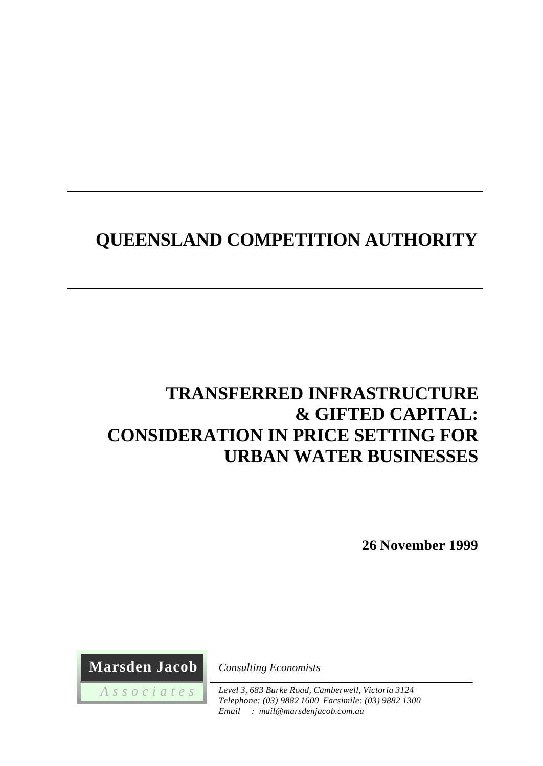# **QUEENSLAND COMPETITION AUTHORITY**

# **TRANSFERRED INFRASTRUCTURE & GIFTED CAPITAL: CONSIDERATION IN PRICE SETTING FOR URBAN WATER BUSINESSES**

**26 November 1999**

 **Marsden Jacob**

 *A s s o c i a t e s*

*Consulting Economists*

*Level 3, 683 Burke Road, Camberwell, Victoria 3124 Telephone: (03) 9882 1600 Facsimile: (03) 9882 1300 Email : mail@marsdenjacob.com.au*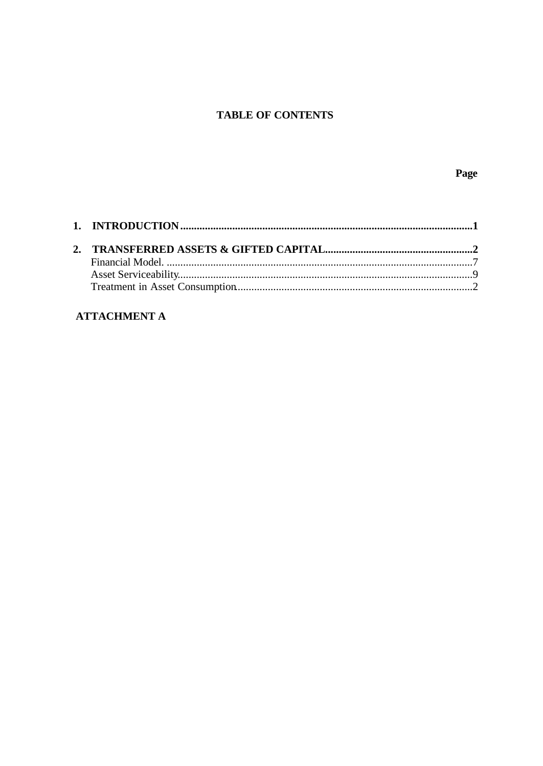#### **TABLE OF CONTENTS**

#### Page

#### **ATTACHMENT A**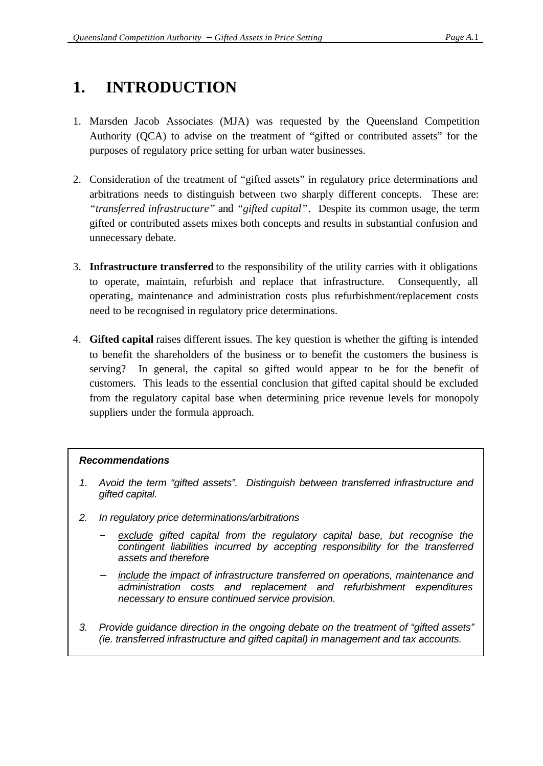## **1. INTRODUCTION**

- 1. Marsden Jacob Associates (MJA) was requested by the Queensland Competition Authority (QCA) to advise on the treatment of "gifted or contributed assets" for the purposes of regulatory price setting for urban water businesses.
- 2. Consideration of the treatment of "gifted assets" in regulatory price determinations and arbitrations needs to distinguish between two sharply different concepts. These are: *"transferred infrastructure"* and *"gifted capital"*. Despite its common usage, the term gifted or contributed assets mixes both concepts and results in substantial confusion and unnecessary debate.
- 3. **Infrastructure transferred** to the responsibility of the utility carries with it obligations to operate, maintain, refurbish and replace that infrastructure. Consequently, all operating, maintenance and administration costs plus refurbishment/replacement costs need to be recognised in regulatory price determinations.
- 4. **Gifted capital** raises different issues. The key question is whether the gifting is intended to benefit the shareholders of the business or to benefit the customers the business is serving? In general, the capital so gifted would appear to be for the benefit of customers. This leads to the essential conclusion that gifted capital should be excluded from the regulatory capital base when determining price revenue levels for monopoly suppliers under the formula approach.

#### *Recommendations*

- *1. Avoid the term "gifted assets". Distinguish between transferred infrastructure and gifted capital.*
- *2. In regulatory price determinations/arbitrations*
	- exclude gifted capital from the regulatory capital base, but recognise the *contingent liabilities incurred by accepting responsibility for the transferred assets and therefore*
	- − *include the impact of infrastructure transferred on operations, maintenance and administration costs and replacement and refurbishment expenditures necessary to ensure continued service provision.*
- *3. Provide guidance direction in the ongoing debate on the treatment of "gifted assets" (ie. transferred infrastructure and gifted capital) in management and tax accounts.*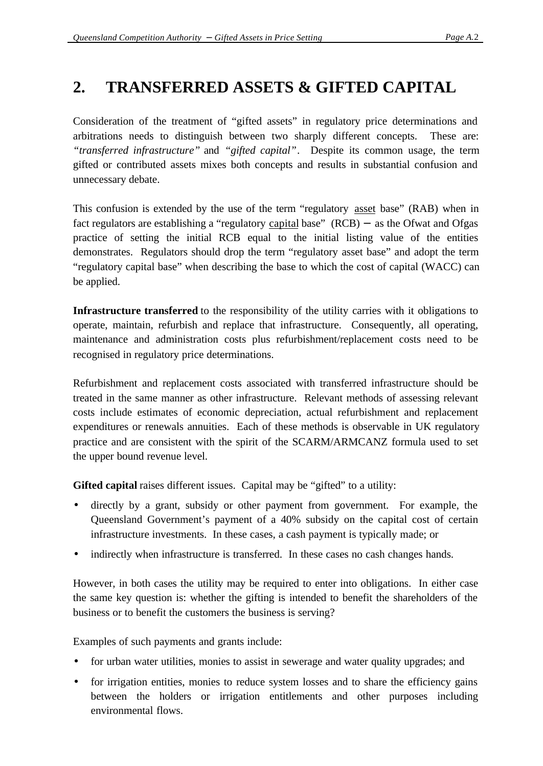## **2. TRANSFERRED ASSETS & GIFTED CAPITAL**

Consideration of the treatment of "gifted assets" in regulatory price determinations and arbitrations needs to distinguish between two sharply different concepts. These are: *"transferred infrastructure"* and *"gifted capital"*. Despite its common usage, the term gifted or contributed assets mixes both concepts and results in substantial confusion and unnecessary debate.

This confusion is extended by the use of the term "regulatory asset base" (RAB) when in fact regulators are establishing a "regulatory capital base" (RCB) − as the Ofwat and Ofgas practice of setting the initial RCB equal to the initial listing value of the entities demonstrates. Regulators should drop the term "regulatory asset base" and adopt the term "regulatory capital base" when describing the base to which the cost of capital (WACC) can be applied.

**Infrastructure transferred** to the responsibility of the utility carries with it obligations to operate, maintain, refurbish and replace that infrastructure. Consequently, all operating, maintenance and administration costs plus refurbishment/replacement costs need to be recognised in regulatory price determinations.

Refurbishment and replacement costs associated with transferred infrastructure should be treated in the same manner as other infrastructure. Relevant methods of assessing relevant costs include estimates of economic depreciation, actual refurbishment and replacement expenditures or renewals annuities. Each of these methods is observable in UK regulatory practice and are consistent with the spirit of the SCARM/ARMCANZ formula used to set the upper bound revenue level.

**Gifted capital** raises different issues. Capital may be "gifted" to a utility:

- directly by a grant, subsidy or other payment from government. For example, the Queensland Government's payment of a 40% subsidy on the capital cost of certain infrastructure investments. In these cases, a cash payment is typically made; or
- indirectly when infrastructure is transferred. In these cases no cash changes hands.

However, in both cases the utility may be required to enter into obligations. In either case the same key question is: whether the gifting is intended to benefit the shareholders of the business or to benefit the customers the business is serving?

Examples of such payments and grants include:

- for urban water utilities, monies to assist in sewerage and water quality upgrades; and
- for irrigation entities, monies to reduce system losses and to share the efficiency gains between the holders or irrigation entitlements and other purposes including environmental flows.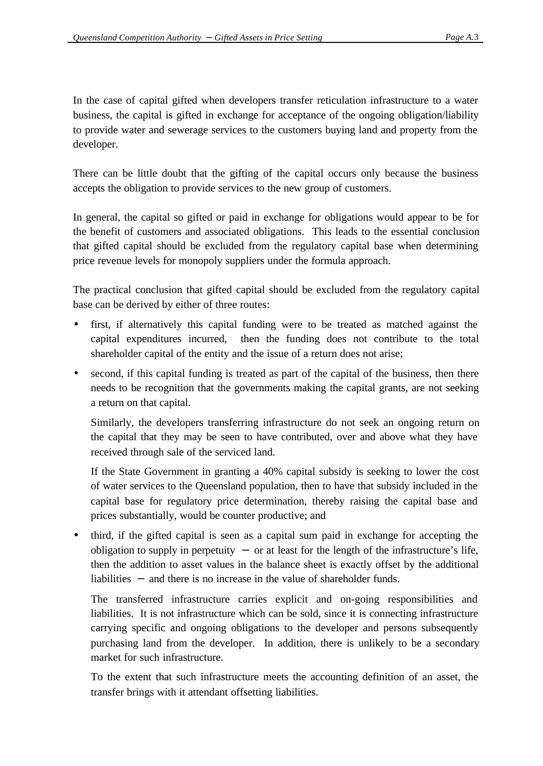In the case of capital gifted when developers transfer reticulation infrastructure to a water business, the capital is gifted in exchange for acceptance of the ongoing obligation/liability to provide water and sewerage services to the customers buying land and property from the developer.

There can be little doubt that the gifting of the capital occurs only because the business accepts the obligation to provide services to the new group of customers.

In general, the capital so gifted or paid in exchange for obligations would appear to be for the benefit of customers and associated obligations. This leads to the essential conclusion that gifted capital should be excluded from the regulatory capital base when determining price revenue levels for monopoly suppliers under the formula approach.

The practical conclusion that gifted capital should be excluded from the regulatory capital base can be derived by either of three routes:

- first, if alternatively this capital funding were to be treated as matched against the capital expenditures incurred, then the funding does not contribute to the total shareholder capital of the entity and the issue of a return does not arise;
- second, if this capital funding is treated as part of the capital of the business, then there needs to be recognition that the governments making the capital grants, are not seeking a return on that capital.

Similarly, the developers transferring infrastructure do not seek an ongoing return on the capital that they may be seen to have contributed, over and above what they have received through sale of the serviced land.

If the State Government in granting a 40% capital subsidy is seeking to lower the cost of water services to the Queensland population, then to have that subsidy included in the capital base for regulatory price determination, thereby raising the capital base and prices substantially, would be counter productive; and

• third, if the gifted capital is seen as a capital sum paid in exchange for accepting the obligation to supply in perpetuity − or at least for the length of the infrastructure's life, then the addition to asset values in the balance sheet is exactly offset by the additional liabilities − and there is no increase in the value of shareholder funds.

The transferred infrastructure carries explicit and on-going responsibilities and liabilities. It is not infrastructure which can be sold, since it is connecting infrastructure carrying specific and ongoing obligations to the developer and persons subsequently purchasing land from the developer. In addition, there is unlikely to be a secondary market for such infrastructure.

To the extent that such infrastructure meets the accounting definition of an asset, the transfer brings with it attendant offsetting liabilities.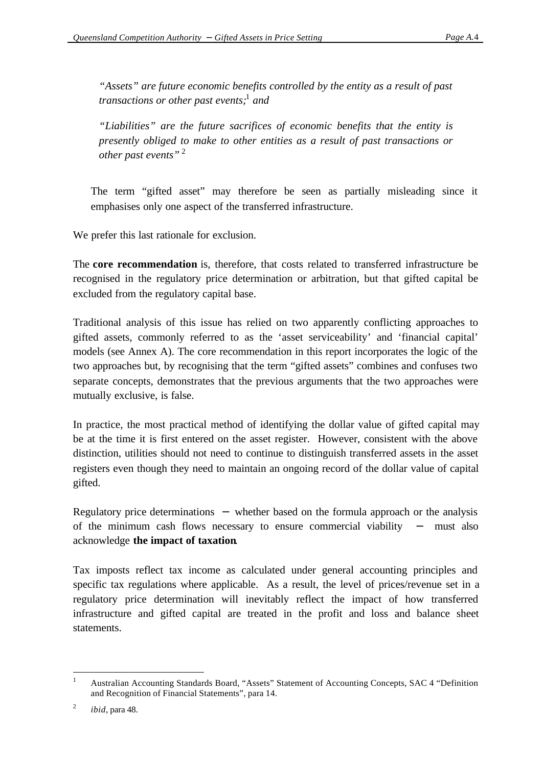*"Assets" are future economic benefits controlled by the entity as a result of past transactions or other past events;*<sup>1</sup>  *and*

*"Liabilities" are the future sacrifices of economic benefits that the entity is presently obliged to make to other entities as a result of past transactions or other past events"* <sup>2</sup>

The term "gifted asset" may therefore be seen as partially misleading since it emphasises only one aspect of the transferred infrastructure.

We prefer this last rationale for exclusion.

The **core recommendation** is, therefore, that costs related to transferred infrastructure be recognised in the regulatory price determination or arbitration, but that gifted capital be excluded from the regulatory capital base.

Traditional analysis of this issue has relied on two apparently conflicting approaches to gifted assets, commonly referred to as the 'asset serviceability' and 'financial capital' models (see Annex A). The core recommendation in this report incorporates the logic of the two approaches but, by recognising that the term "gifted assets" combines and confuses two separate concepts, demonstrates that the previous arguments that the two approaches were mutually exclusive, is false.

In practice, the most practical method of identifying the dollar value of gifted capital may be at the time it is first entered on the asset register. However, consistent with the above distinction, utilities should not need to continue to distinguish transferred assets in the asset registers even though they need to maintain an ongoing record of the dollar value of capital gifted.

Regulatory price determinations − whether based on the formula approach or the analysis of the minimum cash flows necessary to ensure commercial viability – must also acknowledge **the impact of taxation**.

Tax imposts reflect tax income as calculated under general accounting principles and specific tax regulations where applicable. As a result, the level of prices/revenue set in a regulatory price determination will inevitably reflect the impact of how transferred infrastructure and gifted capital are treated in the profit and loss and balance sheet statements.

 $\overline{1}$ <sup>1</sup> Australian Accounting Standards Board, "Assets" Statement of Accounting Concepts, SAC 4 "Definition and Recognition of Financial Statements", para 14.

<sup>2</sup> *ibid*, para 48.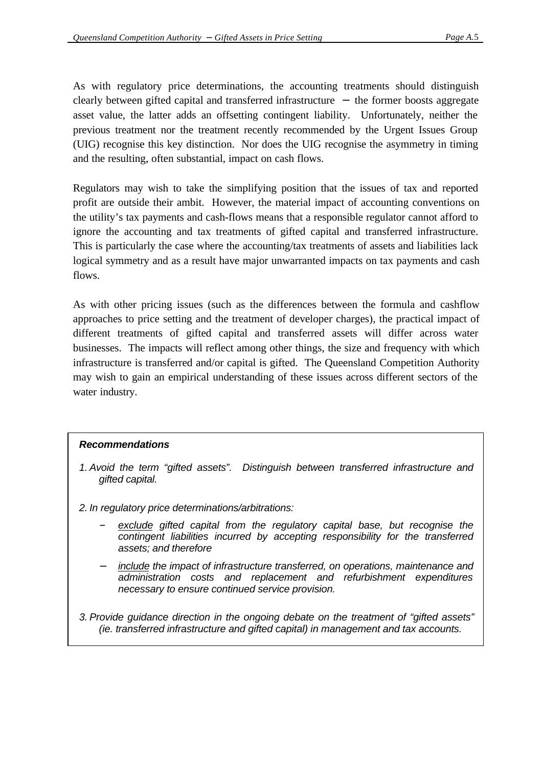As with regulatory price determinations, the accounting treatments should distinguish clearly between gifted capital and transferred infrastructure − the former boosts aggregate asset value, the latter adds an offsetting contingent liability. Unfortunately, neither the previous treatment nor the treatment recently recommended by the Urgent Issues Group (UIG) recognise this key distinction. Nor does the UIG recognise the asymmetry in timing and the resulting, often substantial, impact on cash flows.

Regulators may wish to take the simplifying position that the issues of tax and reported profit are outside their ambit. However, the material impact of accounting conventions on the utility's tax payments and cash-flows means that a responsible regulator cannot afford to ignore the accounting and tax treatments of gifted capital and transferred infrastructure. This is particularly the case where the accounting/tax treatments of assets and liabilities lack logical symmetry and as a result have major unwarranted impacts on tax payments and cash flows.

As with other pricing issues (such as the differences between the formula and cashflow approaches to price setting and the treatment of developer charges), the practical impact of different treatments of gifted capital and transferred assets will differ across water businesses. The impacts will reflect among other things, the size and frequency with which infrastructure is transferred and/or capital is gifted. The Queensland Competition Authority may wish to gain an empirical understanding of these issues across different sectors of the water industry.

#### *Recommendations*

- *1. Avoid the term "gifted assets". Distinguish between transferred infrastructure and gifted capital.*
- *2. In regulatory price determinations/arbitrations:*
	- exclude gifted capital from the regulatory capital base, but recognise the *contingent liabilities incurred by accepting responsibility for the transferred assets; and therefore*
	- − *include the impact of infrastructure transferred, on operations, maintenance and administration costs and replacement and refurbishment expenditures necessary to ensure continued service provision.*
- *3. Provide guidance direction in the ongoing debate on the treatment of "gifted assets" (ie. transferred infrastructure and gifted capital) in management and tax accounts.*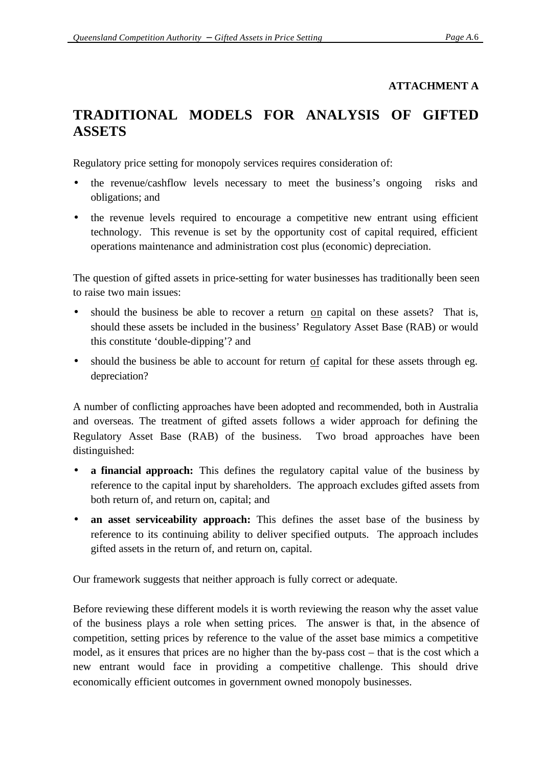#### **ATTACHMENT A**

### **TRADITIONAL MODELS FOR ANALYSIS OF GIFTED ASSETS**

Regulatory price setting for monopoly services requires consideration of:

- the revenue/cashflow levels necessary to meet the business's ongoing risks and obligations; and
- the revenue levels required to encourage a competitive new entrant using efficient technology. This revenue is set by the opportunity cost of capital required, efficient operations maintenance and administration cost plus (economic) depreciation.

The question of gifted assets in price-setting for water businesses has traditionally been seen to raise two main issues:

- should the business be able to recover a return on capital on these assets? That is, should these assets be included in the business' Regulatory Asset Base (RAB) or would this constitute 'double-dipping'? and
- should the business be able to account for return of capital for these assets through eg. depreciation?

A number of conflicting approaches have been adopted and recommended, both in Australia and overseas. The treatment of gifted assets follows a wider approach for defining the Regulatory Asset Base (RAB) of the business. Two broad approaches have been distinguished:

- **a financial approach:** This defines the regulatory capital value of the business by reference to the capital input by shareholders. The approach excludes gifted assets from both return of, and return on, capital; and
- **an asset serviceability approach:** This defines the asset base of the business by reference to its continuing ability to deliver specified outputs. The approach includes gifted assets in the return of, and return on, capital.

Our framework suggests that neither approach is fully correct or adequate.

Before reviewing these different models it is worth reviewing the reason why the asset value of the business plays a role when setting prices. The answer is that, in the absence of competition, setting prices by reference to the value of the asset base mimics a competitive model, as it ensures that prices are no higher than the by-pass cost – that is the cost which a new entrant would face in providing a competitive challenge. This should drive economically efficient outcomes in government owned monopoly businesses.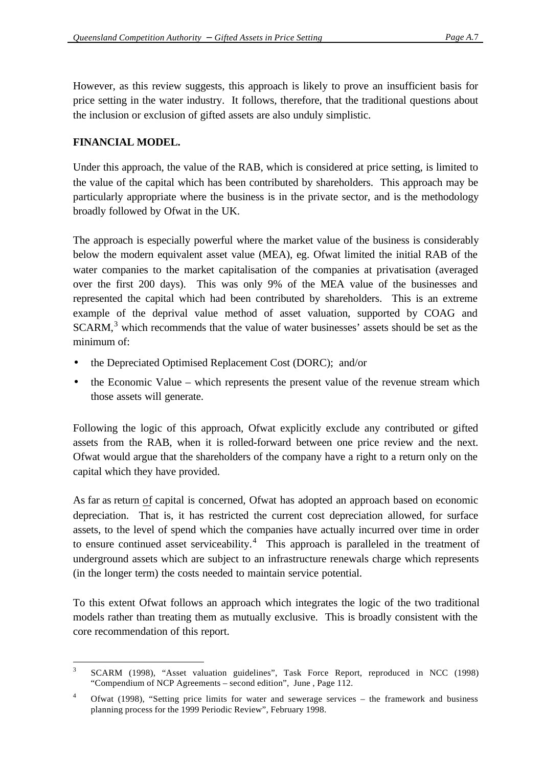However, as this review suggests, this approach is likely to prove an insufficient basis for price setting in the water industry. It follows, therefore, that the traditional questions about the inclusion or exclusion of gifted assets are also unduly simplistic.

#### **FINANCIAL MODEL.**

l

Under this approach, the value of the RAB, which is considered at price setting, is limited to the value of the capital which has been contributed by shareholders. This approach may be particularly appropriate where the business is in the private sector, and is the methodology broadly followed by Ofwat in the UK.

The approach is especially powerful where the market value of the business is considerably below the modern equivalent asset value (MEA), eg. Ofwat limited the initial RAB of the water companies to the market capitalisation of the companies at privatisation (averaged over the first 200 days). This was only 9% of the MEA value of the businesses and represented the capital which had been contributed by shareholders. This is an extreme example of the deprival value method of asset valuation, supported by COAG and  $SCARM$ ,<sup>3</sup> which recommends that the value of water businesses' assets should be set as the minimum of:

- the Depreciated Optimised Replacement Cost (DORC); and/or
- the Economic Value which represents the present value of the revenue stream which those assets will generate.

Following the logic of this approach, Ofwat explicitly exclude any contributed or gifted assets from the RAB, when it is rolled-forward between one price review and the next. Ofwat would argue that the shareholders of the company have a right to a return only on the capital which they have provided.

As far as return of capital is concerned, Ofwat has adopted an approach based on economic depreciation. That is, it has restricted the current cost depreciation allowed, for surface assets, to the level of spend which the companies have actually incurred over time in order to ensure continued asset serviceability.<sup>4</sup> This approach is paralleled in the treatment of underground assets which are subject to an infrastructure renewals charge which represents (in the longer term) the costs needed to maintain service potential.

To this extent Ofwat follows an approach which integrates the logic of the two traditional models rather than treating them as mutually exclusive. This is broadly consistent with the core recommendation of this report.

<sup>3</sup> SCARM (1998), "Asset valuation guidelines", Task Force Report, reproduced in NCC (1998) "Compendium of NCP Agreements – second edition", June , Page 112.

<sup>&</sup>lt;sup>4</sup> Ofwat (1998), "Setting price limits for water and sewerage services – the framework and business planning process for the 1999 Periodic Review", February 1998.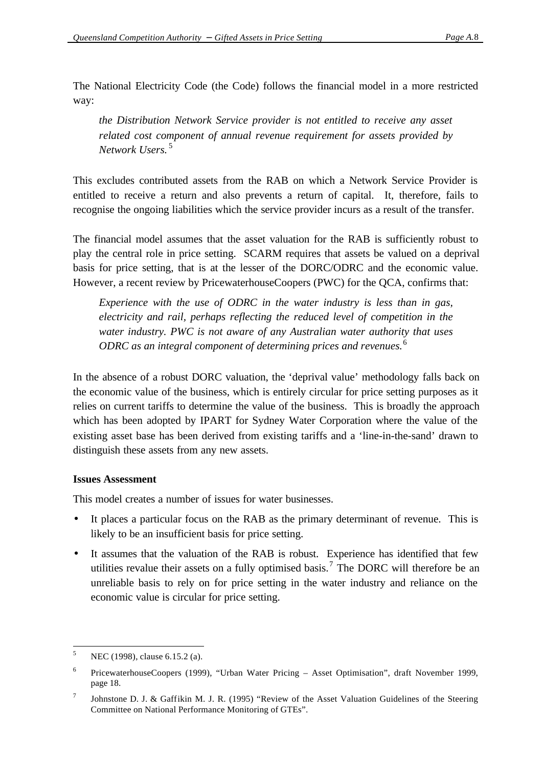The National Electricity Code (the Code) follows the financial model in a more restricted way:

*the Distribution Network Service provider is not entitled to receive any asset related cost component of annual revenue requirement for assets provided by Network Users.* <sup>5</sup>

This excludes contributed assets from the RAB on which a Network Service Provider is entitled to receive a return and also prevents a return of capital. It, therefore, fails to recognise the ongoing liabilities which the service provider incurs as a result of the transfer.

The financial model assumes that the asset valuation for the RAB is sufficiently robust to play the central role in price setting. SCARM requires that assets be valued on a deprival basis for price setting, that is at the lesser of the DORC/ODRC and the economic value. However, a recent review by PricewaterhouseCoopers (PWC) for the QCA, confirms that:

*Experience with the use of ODRC in the water industry is less than in gas, electricity and rail, perhaps reflecting the reduced level of competition in the water industry. PWC is not aware of any Australian water authority that uses ODRC as an integral component of determining prices and revenues.*<sup>6</sup>

In the absence of a robust DORC valuation, the 'deprival value' methodology falls back on the economic value of the business, which is entirely circular for price setting purposes as it relies on current tariffs to determine the value of the business. This is broadly the approach which has been adopted by IPART for Sydney Water Corporation where the value of the existing asset base has been derived from existing tariffs and a 'line-in-the-sand' drawn to distinguish these assets from any new assets.

#### **Issues Assessment**

This model creates a number of issues for water businesses.

- It places a particular focus on the RAB as the primary determinant of revenue. This is likely to be an insufficient basis for price setting.
- It assumes that the valuation of the RAB is robust. Experience has identified that few utilities revalue their assets on a fully optimised basis.<sup>7</sup> The DORC will therefore be an unreliable basis to rely on for price setting in the water industry and reliance on the economic value is circular for price setting.

<sup>5</sup> NEC (1998), clause 6.15.2 (a).

<sup>6</sup> PricewaterhouseCoopers (1999), "Urban Water Pricing – Asset Optimisation", draft November 1999, page 18.

<sup>7</sup> Johnstone D. J. & Gaffikin M. J. R. (1995) "Review of the Asset Valuation Guidelines of the Steering Committee on National Performance Monitoring of GTEs".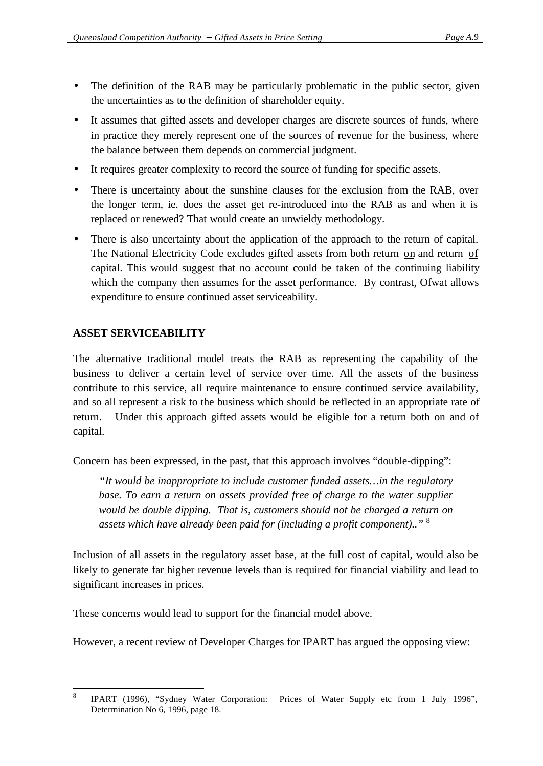- The definition of the RAB may be particularly problematic in the public sector, given the uncertainties as to the definition of shareholder equity.
- It assumes that gifted assets and developer charges are discrete sources of funds, where in practice they merely represent one of the sources of revenue for the business, where the balance between them depends on commercial judgment.
- It requires greater complexity to record the source of funding for specific assets.
- There is uncertainty about the sunshine clauses for the exclusion from the RAB, over the longer term, ie. does the asset get re-introduced into the RAB as and when it is replaced or renewed? That would create an unwieldy methodology.
- There is also uncertainty about the application of the approach to the return of capital. The National Electricity Code excludes gifted assets from both return on and return of capital. This would suggest that no account could be taken of the continuing liability which the company then assumes for the asset performance. By contrast, Ofwat allows expenditure to ensure continued asset serviceability.

#### **ASSET SERVICEABILITY**

The alternative traditional model treats the RAB as representing the capability of the business to deliver a certain level of service over time. All the assets of the business contribute to this service, all require maintenance to ensure continued service availability, and so all represent a risk to the business which should be reflected in an appropriate rate of return. Under this approach gifted assets would be eligible for a return both on and of capital.

Concern has been expressed, in the past, that this approach involves "double-dipping":

*"It would be inappropriate to include customer funded assets…in the regulatory base. To earn a return on assets provided free of charge to the water supplier would be double dipping. That is, customers should not be charged a return on assets which have already been paid for (including a profit component).."* <sup>8</sup>

Inclusion of all assets in the regulatory asset base, at the full cost of capital, would also be likely to generate far higher revenue levels than is required for financial viability and lead to significant increases in prices.

These concerns would lead to support for the financial model above.

However, a recent review of Developer Charges for IPART has argued the opposing view:

 $\frac{1}{8}$ IPART (1996), "Sydney Water Corporation: Prices of Water Supply etc from 1 July 1996", Determination No 6, 1996, page 18.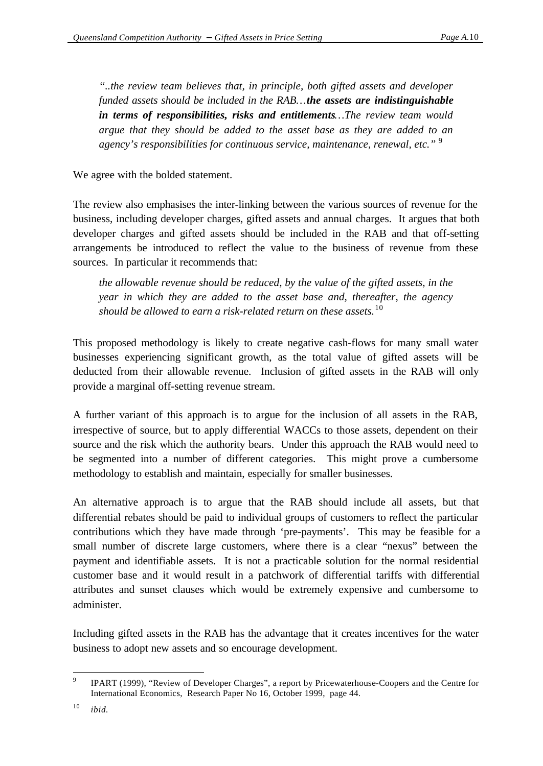*"..the review team believes that, in principle, both gifted assets and developer funded assets should be included in the RAB…the assets are indistinguishable in terms of responsibilities, risks and entitlements…The review team would argue that they should be added to the asset base as they are added to an agency's responsibilities for continuous service, maintenance, renewal, etc."* <sup>9</sup>

We agree with the bolded statement.

The review also emphasises the inter-linking between the various sources of revenue for the business, including developer charges, gifted assets and annual charges. It argues that both developer charges and gifted assets should be included in the RAB and that off-setting arrangements be introduced to reflect the value to the business of revenue from these sources. In particular it recommends that:

*the allowable revenue should be reduced, by the value of the gifted assets, in the year in which they are added to the asset base and, thereafter, the agency should be allowed to earn a risk-related return on these assets.*<sup>10</sup>

This proposed methodology is likely to create negative cash-flows for many small water businesses experiencing significant growth, as the total value of gifted assets will be deducted from their allowable revenue. Inclusion of gifted assets in the RAB will only provide a marginal off-setting revenue stream.

A further variant of this approach is to argue for the inclusion of all assets in the RAB, irrespective of source, but to apply differential WACCs to those assets, dependent on their source and the risk which the authority bears. Under this approach the RAB would need to be segmented into a number of different categories. This might prove a cumbersome methodology to establish and maintain, especially for smaller businesses.

An alternative approach is to argue that the RAB should include all assets, but that differential rebates should be paid to individual groups of customers to reflect the particular contributions which they have made through 'pre-payments'. This may be feasible for a small number of discrete large customers, where there is a clear "nexus" between the payment and identifiable assets. It is not a practicable solution for the normal residential customer base and it would result in a patchwork of differential tariffs with differential attributes and sunset clauses which would be extremely expensive and cumbersome to administer.

Including gifted assets in the RAB has the advantage that it creates incentives for the water business to adopt new assets and so encourage development.

<sup>-&</sup>lt;br>9 IPART (1999), "Review of Developer Charges", a report by Pricewaterhouse-Coopers and the Centre for International Economics, Research Paper No 16, October 1999, page 44.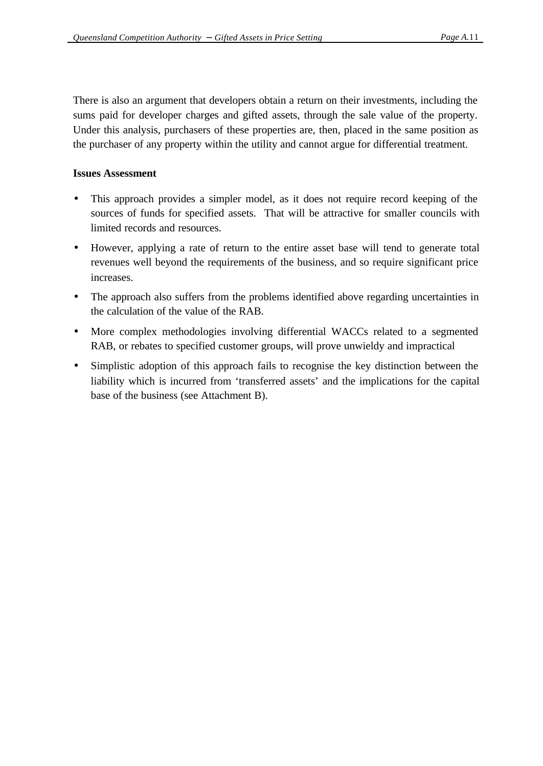There is also an argument that developers obtain a return on their investments, including the sums paid for developer charges and gifted assets, through the sale value of the property. Under this analysis, purchasers of these properties are, then, placed in the same position as the purchaser of any property within the utility and cannot argue for differential treatment.

#### **Issues Assessment**

- This approach provides a simpler model, as it does not require record keeping of the sources of funds for specified assets. That will be attractive for smaller councils with limited records and resources.
- However, applying a rate of return to the entire asset base will tend to generate total revenues well beyond the requirements of the business, and so require significant price increases.
- The approach also suffers from the problems identified above regarding uncertainties in the calculation of the value of the RAB.
- More complex methodologies involving differential WACCs related to a segmented RAB, or rebates to specified customer groups, will prove unwieldy and impractical
- Simplistic adoption of this approach fails to recognise the key distinction between the liability which is incurred from 'transferred assets' and the implications for the capital base of the business (see Attachment B).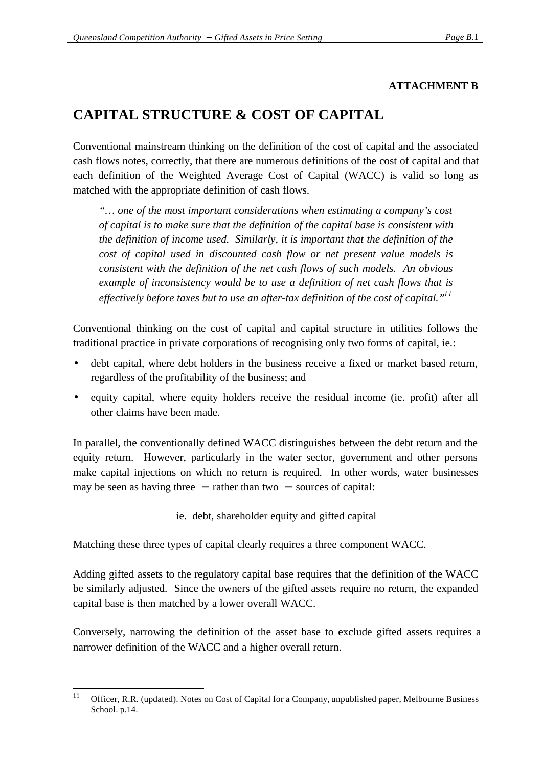#### **ATTACHMENT B**

### **CAPITAL STRUCTURE & COST OF CAPITAL**

Conventional mainstream thinking on the definition of the cost of capital and the associated cash flows notes, correctly, that there are numerous definitions of the cost of capital and that each definition of the Weighted Average Cost of Capital (WACC) is valid so long as matched with the appropriate definition of cash flows.

*"… one of the most important considerations when estimating a company's cost of capital is to make sure that the definition of the capital base is consistent with the definition of income used. Similarly, it is important that the definition of the cost of capital used in discounted cash flow or net present value models is consistent with the definition of the net cash flows of such models. An obvious example of inconsistency would be to use a definition of net cash flows that is effectively before taxes but to use an after-tax definition of the cost of capital."<sup>11</sup>*

Conventional thinking on the cost of capital and capital structure in utilities follows the traditional practice in private corporations of recognising only two forms of capital, ie.:

- debt capital, where debt holders in the business receive a fixed or market based return, regardless of the profitability of the business; and
- equity capital, where equity holders receive the residual income (ie. profit) after all other claims have been made.

In parallel, the conventionally defined WACC distinguishes between the debt return and the equity return. However, particularly in the water sector, government and other persons make capital injections on which no return is required. In other words, water businesses may be seen as having three − rather than two − sources of capital:

ie. debt, shareholder equity and gifted capital

Matching these three types of capital clearly requires a three component WACC.

Adding gifted assets to the regulatory capital base requires that the definition of the WACC be similarly adjusted. Since the owners of the gifted assets require no return, the expanded capital base is then matched by a lower overall WACC.

Conversely, narrowing the definition of the asset base to exclude gifted assets requires a narrower definition of the WACC and a higher overall return.

 $11$ Officer, R.R. (updated). Notes on Cost of Capital for a Company, unpublished paper, Melbourne Business School. p.14.